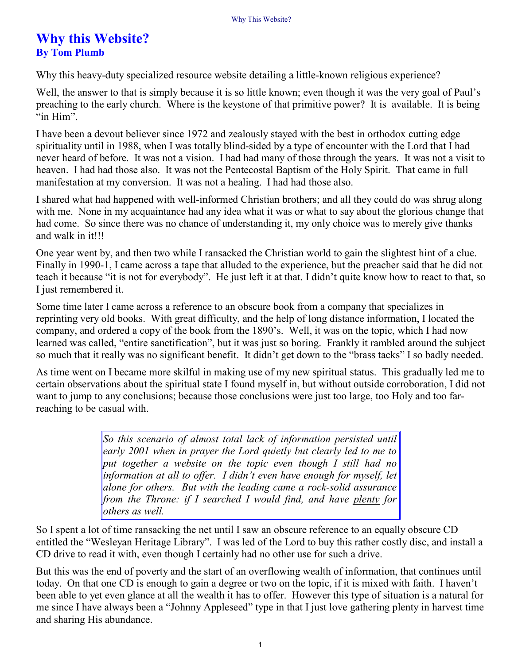## **Why this Website? By Tom Plumb**

Why this heavy-duty specialized resource website detailing a little-known religious experience?

Well, the answer to that is simply because it is so little known; even though it was the very goal of Paul's preaching to the early church. Where is the keystone of that primitive power? It is available. It is being "in Him".

I have been a devout believer since 1972 and zealously stayed with the best in orthodox cutting edge spirituality until in 1988, when I was totally blind-sided by a type of encounter with the Lord that I had never heard of before. It was not a vision. I had had many of those through the years. It was not a visit to heaven. I had had those also. It was not the Pentecostal Baptism of the Holy Spirit. That came in full manifestation at my conversion. It was not a healing. I had had those also.

I shared what had happened with well-informed Christian brothers; and all they could do was shrug along with me. None in my acquaintance had any idea what it was or what to say about the glorious change that had come. So since there was no chance of understanding it, my only choice was to merely give thanks and walk in it!!!

One year went by, and then two while I ransacked the Christian world to gain the slightest hint of a clue. Finally in 1990-1, I came across a tape that alluded to the experience, but the preacher said that he did not teach it because "it is not for everybody". He just left it at that. I didn't quite know how to react to that, so I just remembered it.

Some time later I came across a reference to an obscure book from a company that specializes in reprinting very old books. With great difficulty, and the help of long distance information, I located the company, and ordered a copy of the book from the 1890's. Well, it was on the topic, which I had now learned was called, "entire sanctification", but it was just so boring. Frankly it rambled around the subject so much that it really was no significant benefit. It didn't get down to the "brass tacks" I so badly needed.

As time went on I became more skilful in making use of my new spiritual status. This gradually led me to certain observations about the spiritual state I found myself in, but without outside corroboration, I did not want to jump to any conclusions; because those conclusions were just too large, too Holy and too farreaching to be casual with.

> *So this scenario of almost total lack of information persisted until early 2001 when in prayer the Lord quietly but clearly led to me to put together a website on the topic even though I still had no information at all to offer. I didn't even have enough for myself, let alone for others. But with the leading came a rock-solid assurance from the Throne: if I searched I would find, and have plenty for others as well.*

So I spent a lot of time ransacking the net until I saw an obscure reference to an equally obscure CD entitled the "Wesleyan Heritage Library". I was led of the Lord to buy this rather costly disc, and install a CD drive to read it with, even though I certainly had no other use for such a drive.

But this was the end of poverty and the start of an overflowing wealth of information, that continues until today. On that one CD is enough to gain a degree or two on the topic, if it is mixed with faith. I haven't been able to yet even glance at all the wealth it has to offer. However this type of situation is a natural for me since I have always been a "Johnny Appleseed" type in that I just love gathering plenty in harvest time and sharing His abundance.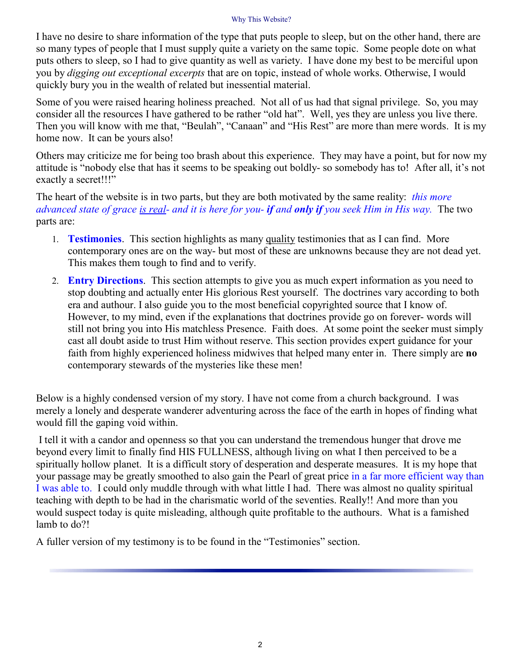## Why This Website?

I have no desire to share information of the type that puts people to sleep, but on the other hand, there are so many types of people that I must supply quite a variety on the same topic. Some people dote on what puts others to sleep, so I had to give quantity as well as variety. I have done my best to be merciful upon you by *digging out exceptional excerpts* that are on topic, instead of whole works. Otherwise, I would quickly bury you in the wealth of related but inessential material.

Some of you were raised hearing holiness preached. Not all of us had that signal privilege. So, you may consider all the resources I have gathered to be rather "old hat". Well, yes they are unless you live there. Then you will know with me that, "Beulah", "Canaan" and "His Rest" are more than mere words. It is my home now. It can be yours also!

Others may criticize me for being too brash about this experience. They may have a point, but for now my attitude is "nobody else that has it seems to be speaking out boldly- so somebody has to! After all, it's not exactly a secret!!!"

The heart of the website is in two parts, but they are both motivated by the same reality: *this more* advanced state of grace is real- and it is here for you- if and only if you seek Him in His way. The two parts are:

- 1. **Testimonies**. This section highlights as many quality testimonies that as I can find. More contemporary ones are on the way- but most of these are unknowns because they are not dead yet. This makes them tough to find and to verify.
- 2. **Entry Directions**. This section attempts to give you as much expert information as you need to stop doubting and actually enter His glorious Rest yourself. The doctrines vary according to both era and authour. I also guide you to the most beneficial copyrighted source that I know of. However, to my mind, even if the explanations that doctrines provide go on forever- words will still not bring you into His matchless Presence. Faith does. At some point the seeker must simply cast all doubt aside to trust Him without reserve. This section provides expert guidance for your faith from highly experienced holiness midwives that helped many enter in. There simply are **no** contemporary stewards of the mysteries like these men!

Below is a highly condensed version of my story. I have not come from a church background. I was merely a lonely and desperate wanderer adventuring across the face of the earth in hopes of finding what would fill the gaping void within.

I tell it with a candor and openness so that you can understand the tremendous hunger that drove me beyond every limit to finally find HIS FULLNESS, although living on what I then perceived to be a spiritually hollow planet. It is a difficult story of desperation and desperate measures. It is my hope that your passage may be greatly smoothed to also gain the Pearl of great price in a far more efficient way than I was able to. I could only muddle through with what little I had. There was almost no quality spiritual teaching with depth to be had in the charismatic world of the seventies. Really!! And more than you would suspect today is quite misleading, although quite profitable to the authours. What is a famished lamb to do?!

A fuller version of my testimony is to be found in the "Testimonies" section.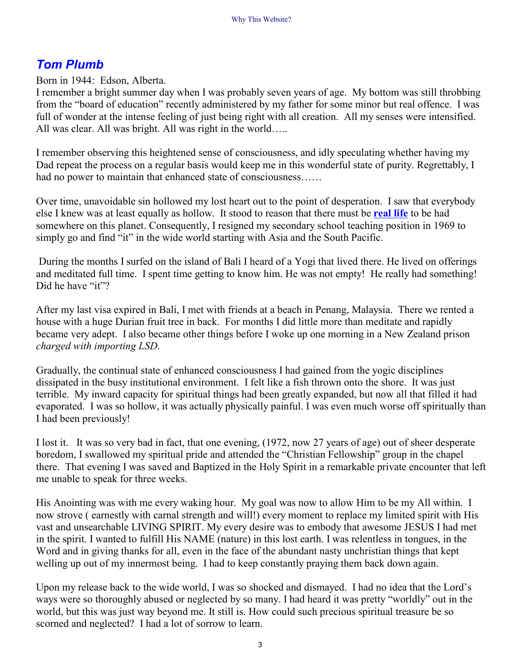## *Tom Plumb*

Born in 1944: Edson, Alberta.

I remember a bright summer day when I was probably seven years of age. My bottom was still throbbing from the "board of education" recently administered by my father for some minor but real offence. I was full of wonder at the intense feeling of just being right with all creation. All my senses were intensified. All was clear. All was bright. All was right in the world…..

I remember observing this heightened sense of consciousness, and idly speculating whether having my Dad repeat the process on a regular basis would keep me in this wonderful state of purity. Regrettably, I had no power to maintain that enhanced state of consciousness......

Over time, unavoidable sin hollowed my lost heart out to the point of desperation. I saw that everybody else I knew was at least equally as hollow. It stood to reason that there must be **real life** to be had somewhere on this planet. Consequently, I resigned my secondary school teaching position in 1969 to simply go and find "it" in the wide world starting with Asia and the South Pacific.

During the months I surfed on the island of Bali I heard of a Yogi that lived there. He lived on offerings and meditated full time. I spent time getting to know him. He was not empty! He really had something! Did he have "it"?

After my last visa expired in Bali, I met with friends at a beach in Penang, Malaysia. There we rented a house with a huge Durian fruit tree in back. For months I did little more than meditate and rapidly became very adept. I also became other things before I woke up one morning in a New Zealand prison *charged with importing LSD*.

Gradually, the continual state of enhanced consciousness I had gained from the yogic disciplines dissipated in the busy institutional environment. I felt like a fish thrown onto the shore. It was just terrible. My inward capacity for spiritual things had been greatly expanded, but now all that filled it had evaporated. I was so hollow, it was actually physically painful. I was even much worse off spiritually than I had been previously!

I lost it. It was so very bad in fact, that one evening, (1972, now 27 years of age) out of sheer desperate boredom, I swallowed my spiritual pride and attended the "Christian Fellowship" group in the chapel there. That evening I was saved and Baptized in the Holy Spirit in a remarkable private encounter that left me unable to speak for three weeks.

His Anointing was with me every waking hour. My goal was now to allow Him to be my All within. I now strove ( earnestly with carnal strength and will!) every moment to replace my limited spirit with His vast and unsearchable LIVING SPIRIT. My every desire was to embody that awesome JESUS I had met in the spirit. I wanted to fulfill His NAME (nature) in this lost earth. I was relentless in tongues, in the Word and in giving thanks for all, even in the face of the abundant nasty unchristian things that kept welling up out of my innermost being. I had to keep constantly praying them back down again.

Upon my release back to the wide world, I was so shocked and dismayed. I had no idea that the Lord's ways were so thoroughly abused or neglected by so many. I had heard it was pretty "worldly" out in the world, but this was just way beyond me. It still is. How could such precious spiritual treasure be so scorned and neglected? I had a lot of sorrow to learn.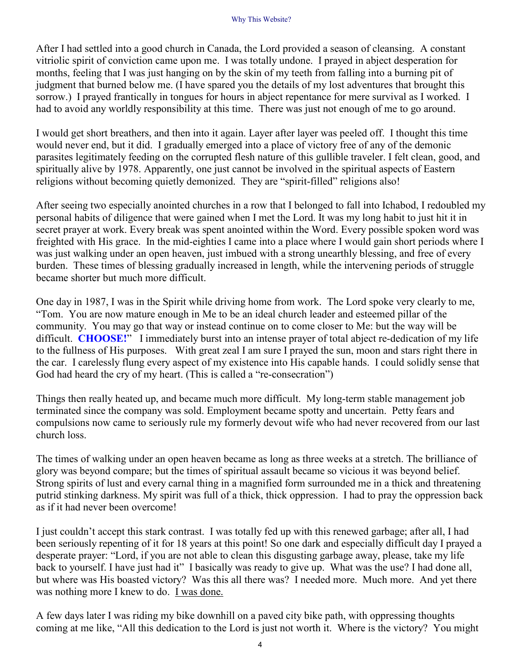After I had settled into a good church in Canada, the Lord provided a season of cleansing. A constant vitriolic spirit of conviction came upon me. I was totally undone. I prayed in abject desperation for months, feeling that I was just hanging on by the skin of my teeth from falling into a burning pit of judgment that burned below me. (I have spared you the details of my lost adventures that brought this sorrow.) I prayed frantically in tongues for hours in abject repentance for mere survival as I worked. I had to avoid any worldly responsibility at this time. There was just not enough of me to go around.

I would get short breathers, and then into it again. Layer after layer was peeled off. I thought this time would never end, but it did. I gradually emerged into a place of victory free of any of the demonic parasites legitimately feeding on the corrupted flesh nature of this gullible traveler. I felt clean, good, and spiritually alive by 1978. Apparently, one just cannot be involved in the spiritual aspects of Eastern religions without becoming quietly demonized. They are "spirit-filled" religions also!

After seeing two especially anointed churches in a row that I belonged to fall into Ichabod, I redoubled my personal habits of diligence that were gained when I met the Lord. It was my long habit to just hit it in secret prayer at work. Every break was spent anointed within the Word. Every possible spoken word was freighted with His grace. In the mid-eighties I came into a place where I would gain short periods where I was just walking under an open heaven, just imbued with a strong unearthly blessing, and free of every burden. These times of blessing gradually increased in length, while the intervening periods of struggle became shorter but much more difficult.

One day in 1987, I was in the Spirit while driving home from work. The Lord spoke very clearly to me, "Tom. You are now mature enough in Me to be an ideal church leader and esteemed pillar of the community. You may go that way or instead continue on to come closer to Me: but the way will be difficult. **CHOOSE!**" I immediately burst into an intense prayer of total abject re-dedication of my life to the fullness of His purposes. With great zeal I am sure I prayed the sun, moon and stars right there in the car. I carelessly flung every aspect of my existence into His capable hands. I could solidly sense that God had heard the cry of my heart. (This is called a "re-consecration")

Things then really heated up, and became much more difficult. My long-term stable management job terminated since the company was sold. Employment became spotty and uncertain. Petty fears and compulsions now came to seriously rule my formerly devout wife who had never recovered from our last church loss.

The times of walking under an open heaven became as long as three weeks at a stretch. The brilliance of glory was beyond compare; but the times of spiritual assault became so vicious it was beyond belief. Strong spirits of lust and every carnal thing in a magnified form surrounded me in a thick and threatening putrid stinking darkness. My spirit was full of a thick, thick oppression. I had to pray the oppression back as if it had never been overcome!

I just couldn't accept this stark contrast. I was totally fed up with this renewed garbage; after all, I had been seriously repenting of it for 18 years at this point! So one dark and especially difficult day I prayed a desperate prayer: "Lord, if you are not able to clean this disgusting garbage away, please, take my life back to yourself. I have just had it" I basically was ready to give up. What was the use? I had done all, but where was His boasted victory? Was this all there was? I needed more. Much more. And yet there was nothing more I knew to do. I was done.

A few days later I was riding my bike downhill on a paved city bike path, with oppressing thoughts coming at me like, "All this dedication to the Lord is just not worth it. Where is the victory? You might